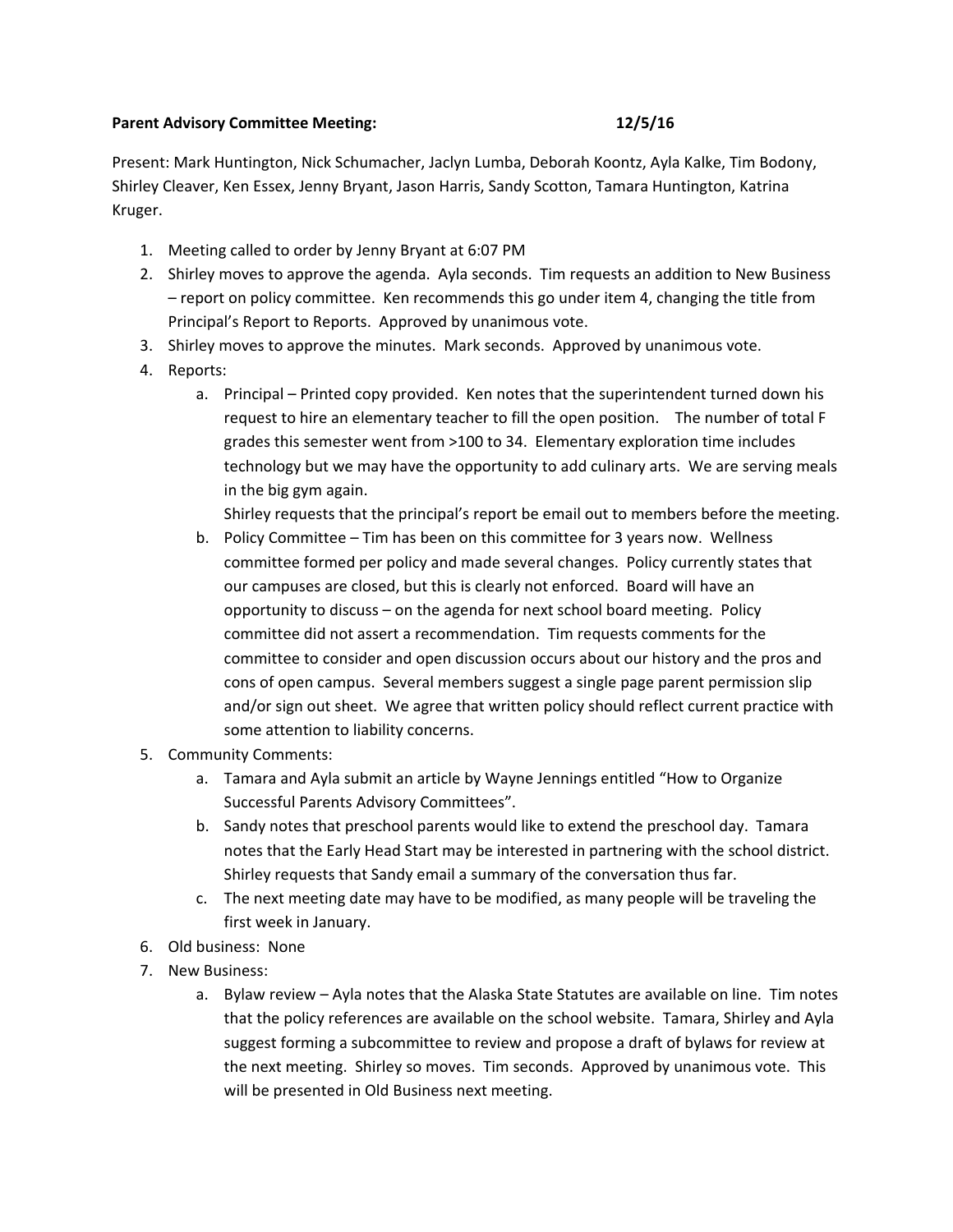## **Parent Advisory Committee Meeting: 12/5/16**

Present: Mark Huntington, Nick Schumacher, Jaclyn Lumba, Deborah Koontz, Ayla Kalke, Tim Bodony, Shirley Cleaver, Ken Essex, Jenny Bryant, Jason Harris, Sandy Scotton, Tamara Huntington, Katrina Kruger.

- 1. Meeting called to order by Jenny Bryant at 6:07 PM
- 2. Shirley moves to approve the agenda. Ayla seconds. Tim requests an addition to New Business – report on policy committee. Ken recommends this go under item 4, changing the title from Principal's Report to Reports. Approved by unanimous vote.
- 3. Shirley moves to approve the minutes. Mark seconds. Approved by unanimous vote.
- 4. Reports:
	- a. Principal Printed copy provided. Ken notes that the superintendent turned down his request to hire an elementary teacher to fill the open position. The number of total F grades this semester went from >100 to 34. Elementary exploration time includes technology but we may have the opportunity to add culinary arts. We are serving meals in the big gym again.

Shirley requests that the principal's report be email out to members before the meeting.

- b. Policy Committee Tim has been on this committee for 3 years now. Wellness committee formed per policy and made several changes. Policy currently states that our campuses are closed, but this is clearly not enforced. Board will have an opportunity to discuss – on the agenda for next school board meeting. Policy committee did not assert a recommendation. Tim requests comments for the committee to consider and open discussion occurs about our history and the pros and cons of open campus. Several members suggest a single page parent permission slip and/or sign out sheet. We agree that written policy should reflect current practice with some attention to liability concerns.
- 5. Community Comments:
	- a. Tamara and Ayla submit an article by Wayne Jennings entitled "How to Organize Successful Parents Advisory Committees".
	- b. Sandy notes that preschool parents would like to extend the preschool day. Tamara notes that the Early Head Start may be interested in partnering with the school district. Shirley requests that Sandy email a summary of the conversation thus far.
	- c. The next meeting date may have to be modified, as many people will be traveling the first week in January.
- 6. Old business: None
- 7. New Business:
	- a. Bylaw review Ayla notes that the Alaska State Statutes are available on line. Tim notes that the policy references are available on the school website. Tamara, Shirley and Ayla suggest forming a subcommittee to review and propose a draft of bylaws for review at the next meeting. Shirley so moves. Tim seconds. Approved by unanimous vote. This will be presented in Old Business next meeting.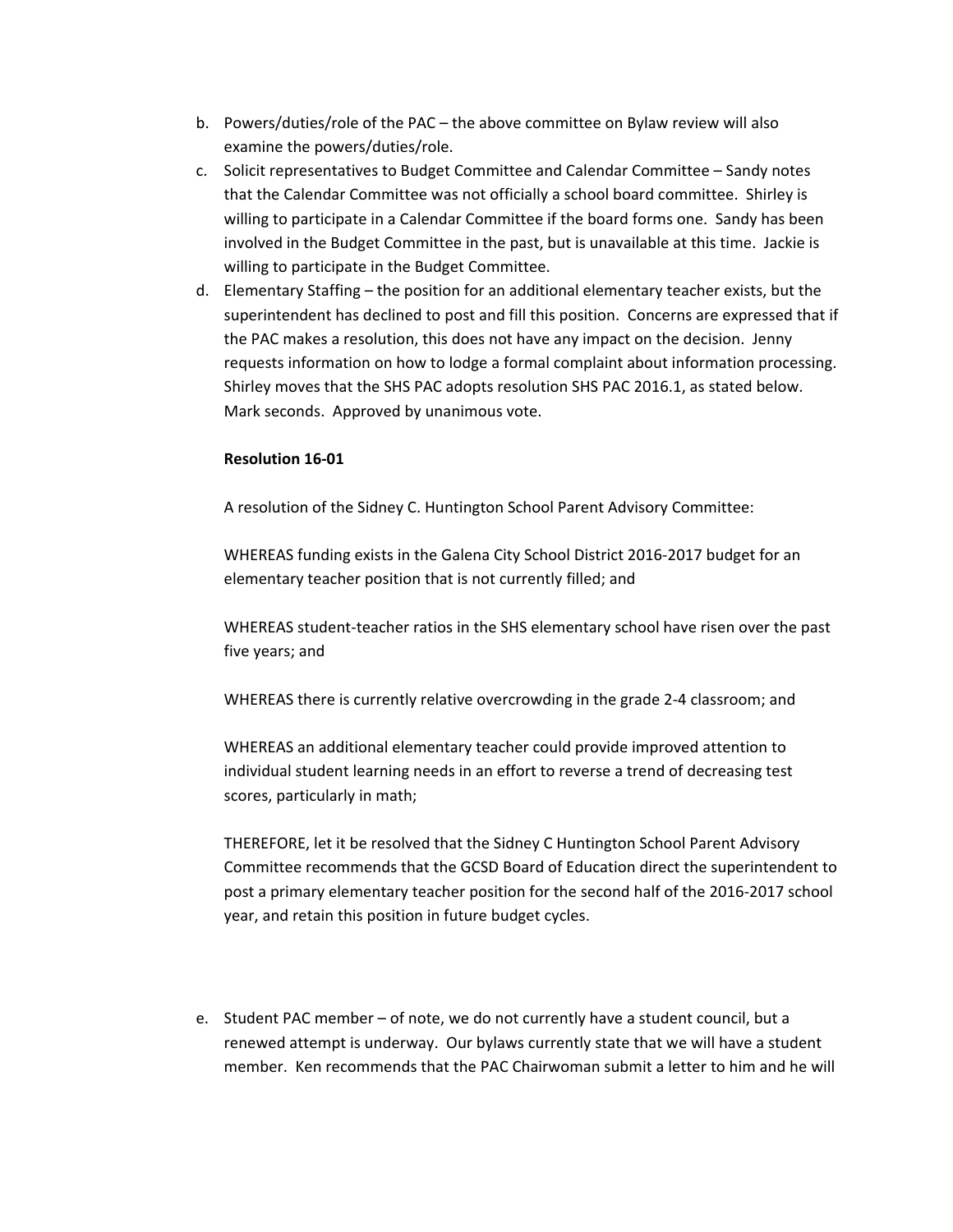- b. Powers/duties/role of the PAC the above committee on Bylaw review will also examine the powers/duties/role.
- c. Solicit representatives to Budget Committee and Calendar Committee Sandy notes that the Calendar Committee was not officially a school board committee. Shirley is willing to participate in a Calendar Committee if the board forms one. Sandy has been involved in the Budget Committee in the past, but is unavailable at this time. Jackie is willing to participate in the Budget Committee.
- d. Elementary Staffing the position for an additional elementary teacher exists, but the superintendent has declined to post and fill this position. Concerns are expressed that if the PAC makes a resolution, this does not have any impact on the decision. Jenny requests information on how to lodge a formal complaint about information processing. Shirley moves that the SHS PAC adopts resolution SHS PAC 2016.1, as stated below. Mark seconds. Approved by unanimous vote.

## **Resolution 16‐01**

A resolution of the Sidney C. Huntington School Parent Advisory Committee:

WHEREAS funding exists in the Galena City School District 2016‐2017 budget for an elementary teacher position that is not currently filled; and

WHEREAS student‐teacher ratios in the SHS elementary school have risen over the past five years; and

WHEREAS there is currently relative overcrowding in the grade 2‐4 classroom; and

WHEREAS an additional elementary teacher could provide improved attention to individual student learning needs in an effort to reverse a trend of decreasing test scores, particularly in math;

THEREFORE, let it be resolved that the Sidney C Huntington School Parent Advisory Committee recommends that the GCSD Board of Education direct the superintendent to post a primary elementary teacher position for the second half of the 2016‐2017 school year, and retain this position in future budget cycles.

e. Student PAC member – of note, we do not currently have a student council, but a renewed attempt is underway. Our bylaws currently state that we will have a student member. Ken recommends that the PAC Chairwoman submit a letter to him and he will